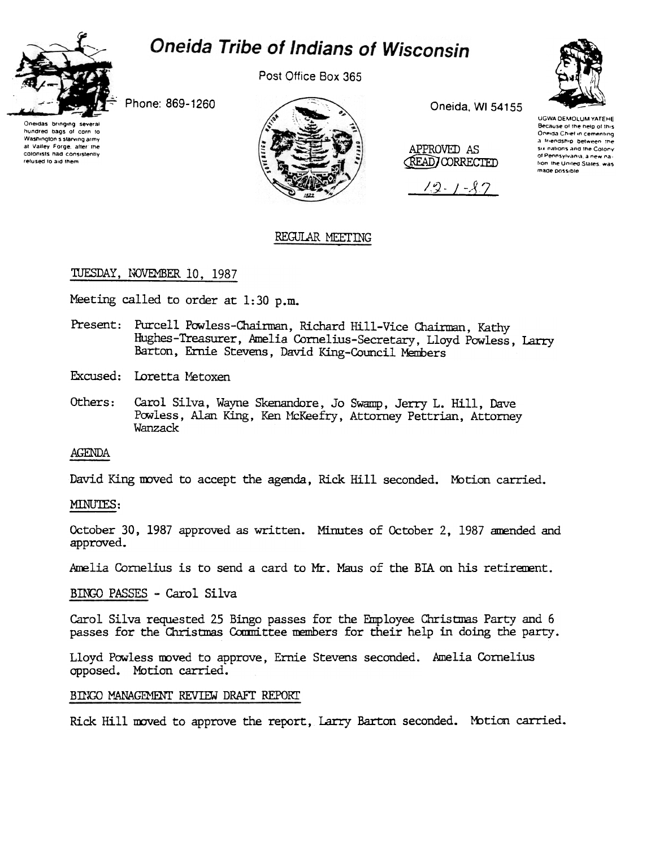

Post Office Box 365





Phone: 869-1260

Oneidas bringing several hundred bags of corn to Washington's starving army at Valley Forge, after the colonists had consistently refused to aid them



Oneida, WI 54155

APPROVED AS (READ) CORRECTED

 $12 - 1 - 27$ 

#### UGWA DEMOLUM YATEHE Because of the help of this<br>Oneida Chief in cementing a friendship between the six nations and the Colony of Pennsylvania, a new nation the United States, was made possible

# REGULAR MEETING

# TUESDAY, NOVEMBER 10, 1987

Meeting called to order at 1:30 p.m.

- Present: Purcell Powless-Chairman, Richard Hill-Vice Chairman, Kathy Hughes-Treasurer, Amelia Cornelius-Secretary, Lloyd Powless, Larry Barton, Ernie Stevens, David King-Council Members
- Excused: Loretta Metoxen
- Carol Silva, Wayne Skenandore, Jo Swamp, Jerry L. Hill, Dave Others: Powless, Alan King, Ken McKeefry, Attorney Pettrian, Attorney Wanzack

### AGENDA

David King moved to accept the agenda, Rick Hill seconded. Motion carried.

### MINUTES:

October 30, 1987 approved as written. Minutes of October 2, 1987 amended and approved.

Amelia Cornelius is to send a card to Mr. Maus of the BIA on his retirement.

BINGO PASSES - Carol Silva

Carol Silva requested 25 Bingo passes for the Employee Christmas Party and 6 passes for the Christmas Committee members for their help in doing the party.

Lloyd Powless moved to approve, Ernie Stevens seconded. Amelia Cornelius opposed. Motion carried.

# BINGO MANAGEMENT REVIEW DRAFT REPORT

Rick Hill moved to approve the report, Larry Barton seconded. Motion carried.